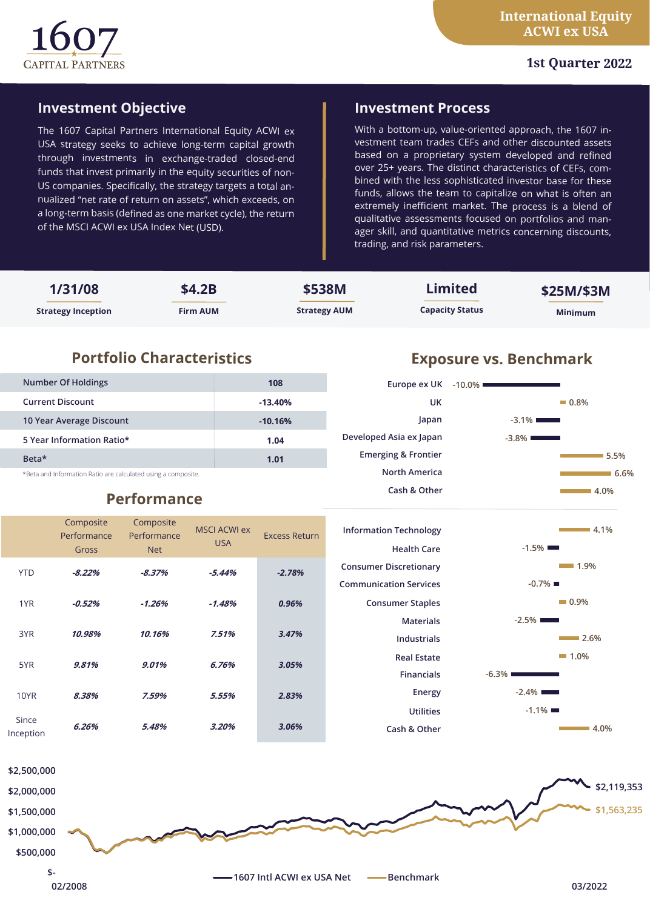

## **1st Quarter 2022**

## **Investment Objective**

The 1607 Capital Partners International Equity ACWI ex USA strategy seeks to achieve long-term capital growth through investments in exchange-traded closed-end funds that invest primarily in the equity securities of non-US companies. Specifically, the strategy targets a total annualized "net rate of return on assets", which exceeds, on a long-term basis (defined as one market cycle), the return of the MSCI ACWI ex USA Index Net (USD).

## **Investment Process**

**UK**

**Japan**

**Europe ex UK**

**Developed Asia ex Japan Emerging & Frontier North America Cash & Other**

With a bottom-up, value-oriented approach, the 1607 investment team trades CEFs and other discounted assets based on a proprietary system developed and refined over 25+ years. The distinct characteristics of CEFs, combined with the less sophisticated investor base for these funds, allows the team to capitalize on what is often an extremely inefficient market. The process is a blend of qualitative assessments focused on portfolios and manager skill, and quantitative metrics concerning discounts, trading, and risk parameters.

| 1/31/08                   | \$4.2B          | \$538M              | <b>Limited</b>         | \$25M/\$3M     |
|---------------------------|-----------------|---------------------|------------------------|----------------|
| <b>Strategy Inception</b> | <b>Firm AUM</b> | <b>Strategy AUM</b> | <b>Capacity Status</b> | <b>Minimum</b> |

# **Portfolio Characteristics Exposure vs. Benchmark**

| <b>Number Of Holdings</b>                                    | 108       |  |  |
|--------------------------------------------------------------|-----------|--|--|
| <b>Current Discount</b>                                      | $-13.40%$ |  |  |
| 10 Year Average Discount                                     | $-10.16%$ |  |  |
| 5 Year Information Ratio*                                    | 1.04      |  |  |
| Beta*                                                        | 1.01      |  |  |
| *Beta and Information Ratio are calculated using a composite |           |  |  |

#### \*Beta and Information Ratio are calculated using a composite.

# **Performance**

### Composite Performance Gross Composite Performance Net MSCI ACWI ex USA Excess Return YTD **-8.22% -8.37% -5.44%** *-2.78%* 1YR **-0.52% -1.26% -1.48%** *0.96%* 3YR **10.98% 10.16% 7.51%** *3.47%* 5YR **9.81% 9.01% 6.76%** *3.05%* 10YR **8.38% 7.59% 5.55%** *2.83%* Since Inception **6.26% 5.48% 3.20%** *3.06%*

## **Information Technology Health Care Consumer Discretionary Communication Services Consumer Staples Materials Industrials Real Estate Financials Energy Utilities Cash & Other**